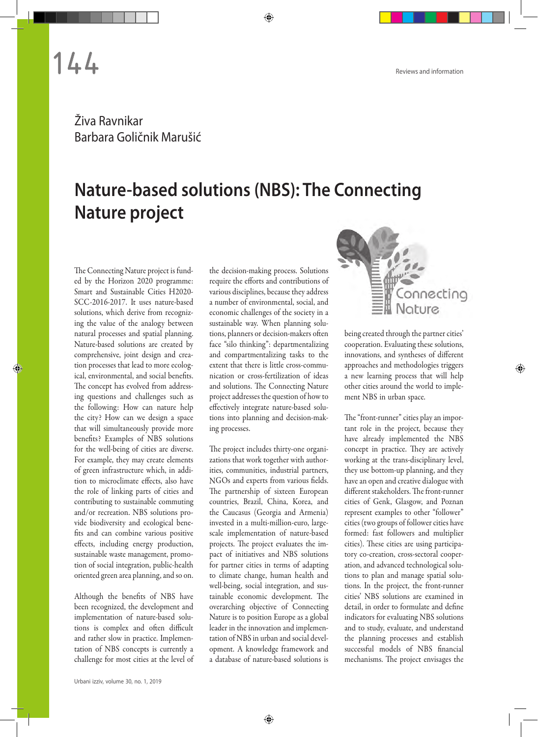**144** Reviews and information

## Živa Ravnikar Barbara Goličnik Marušić

## **Nature-based solutions (NBS): The Connecting Nature project**

The Connecting Nature project is funded by the Horizon 2020 programme: Smart and Sustainable Cities H2020- SCC-2016-2017. It uses nature-based solutions, which derive from recognizing the value of the analogy between natural processes and spatial planning. Nature-based solutions are created by comprehensive, joint design and creation processes that lead to more ecological, environmental, and social benefits. The concept has evolved from addressing questions and challenges such as the following: How can nature help the city? How can we design a space that will simultaneously provide more benefits? Examples of NBS solutions for the well-being of cities are diverse. For example, they may create elements of green infrastructure which, in addition to microclimate effects, also have the role of linking parts of cities and contributing to sustainable commuting and/or recreation. NBS solutions provide biodiversity and ecological benefits and can combine various positive effects, including energy production, sustainable waste management, promotion of social integration, public-health oriented green area planning, and so on.

Although the benefits of NBS have been recognized, the development and implementation of nature-based solutions is complex and often difficult and rather slow in practice. Implementation of NBS concepts is currently a challenge for most cities at the level of the decision-making process. Solutions require the efforts and contributions of various disciplines, because they address a number of environmental, social, and economic challenges of the society in a sustainable way. When planning solutions, planners or decision-makers often face "silo thinking": departmentalizing and compartmentalizing tasks to the extent that there is little cross-communication or cross-fertilization of ideas and solutions. The Connecting Nature project addresses the question of how to effectively integrate nature-based solutions into planning and decision-making processes.

The project includes thirty-one organizations that work together with authorities, communities, industrial partners, NGOs and experts from various fields. The partnership of sixteen European countries, Brazil, China, Korea, and the Caucasus (Georgia and Armenia) invested in a multi-million-euro, largescale implementation of nature-based projects. The project evaluates the impact of initiatives and NBS solutions for partner cities in terms of adapting to climate change, human health and well-being, social integration, and sustainable economic development. The overarching objective of Connecting Nature is to position Europe as a global leader in the innovation and implementation of NBS in urban and social development. A knowledge framework and a database of nature-based solutions is



being created through the partner cities' cooperation. Evaluating these solutions, innovations, and syntheses of different approaches and methodologies triggers a new learning process that will help other cities around the world to implement NBS in urban space.

The "front-runner" cities play an important role in the project, because they have already implemented the NBS concept in practice. They are actively working at the trans-disciplinary level, they use bottom-up planning, and they have an open and creative dialogue with different stakeholders. The front-runner cities of Genk, Glasgow, and Poznan represent examples to other "follower" cities (two groups of follower cities have formed: fast followers and multiplier cities). These cities are using participatory co-creation, cross-sectoral cooperation, and advanced technological solutions to plan and manage spatial solutions. In the project, the front-runner cities' NBS solutions are examined in detail, in order to formulate and define indicators for evaluating NBS solutions and to study, evaluate, and understand the planning processes and establish successful models of NBS financial mechanisms. The project envisages the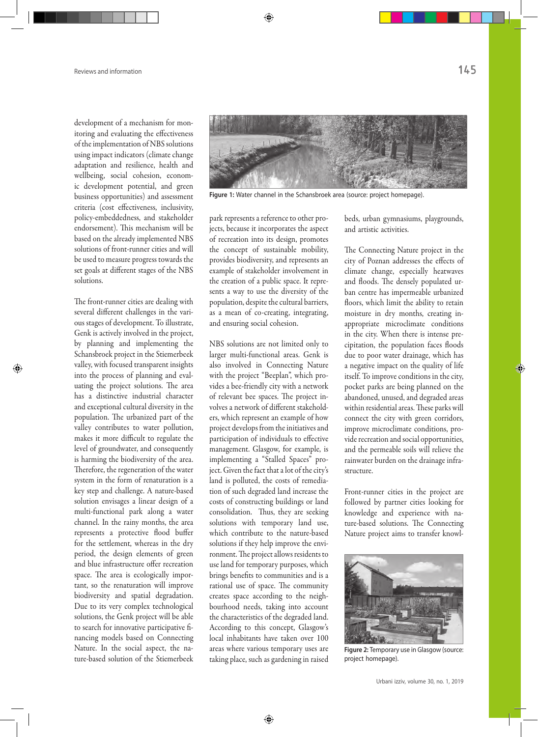development of a mechanism for monitoring and evaluating the effectiveness of the implementation of NBS solutions using impact indicators (climate change adaptation and resilience, health and wellbeing, social cohesion, economic development potential, and green business opportunities) and assessment criteria (cost effectiveness, inclusivity, policy-embeddedness, and stakeholder endorsement). This mechanism will be based on the already implemented NBS solutions of front-runner cities and will be used to measure progress towards the set goals at different stages of the NBS solutions.

The front-runner cities are dealing with several different challenges in the various stages of development. To illustrate, Genk is actively involved in the project, by planning and implementing the Schansbroek project in the Stiemerbeek valley, with focused transparent insights into the process of planning and evaluating the project solutions. The area has a distinctive industrial character and exceptional cultural diversity in the population. The urbanized part of the valley contributes to water pollution, makes it more difficult to regulate the level of groundwater, and consequently is harming the biodiversity of the area. Therefore, the regeneration of the water system in the form of renaturation is a key step and challenge. A nature-based solution envisages a linear design of a multi-functional park along a water channel. In the rainy months, the area represents a protective flood buffer for the settlement, whereas in the dry period, the design elements of green and blue infrastructure offer recreation space. The area is ecologically important, so the renaturation will improve biodiversity and spatial degradation. Due to its very complex technological solutions, the Genk project will be able to search for innovative participative financing models based on Connecting Nature. In the social aspect, the nature-based solution of the Stiemerbeek



**Figure 1:** Water channel in the Schansbroek area (source: project homepage).

park represents a reference to other projects, because it incorporates the aspect of recreation into its design, promotes the concept of sustainable mobility, provides biodiversity, and represents an example of stakeholder involvement in the creation of a public space. It represents a way to use the diversity of the population, despite the cultural barriers, as a mean of co-creating, integrating, and ensuring social cohesion.

NBS solutions are not limited only to larger multi-functional areas. Genk is also involved in Connecting Nature with the project "Beeplan", which provides a bee-friendly city with a network of relevant bee spaces. The project involves a network of different stakeholders, which represent an example of how project develops from the initiatives and participation of individuals to effective management. Glasgow, for example, is implementing a "Stalled Spaces" project. Given the fact that a lot of the city's land is polluted, the costs of remediation of such degraded land increase the costs of constructing buildings or land consolidation. Thus, they are seeking solutions with temporary land use, which contribute to the nature-based solutions if they help improve the environment. The project allows residents to use land for temporary purposes, which brings benefits to communities and is a rational use of space. The community creates space according to the neighbourhood needs, taking into account the characteristics of the degraded land. According to this concept, Glasgow's local inhabitants have taken over 100 areas where various temporary uses are taking place, such as gardening in raised

beds, urban gymnasiums, playgrounds, and artistic activities.

The Connecting Nature project in the city of Poznan addresses the effects of climate change, especially heatwaves and floods. The densely populated urban centre has impermeable urbanized floors, which limit the ability to retain moisture in dry months, creating inappropriate microclimate conditions in the city. When there is intense precipitation, the population faces floods due to poor water drainage, which has a negative impact on the quality of life itself. To improve conditions in the city, pocket parks are being planned on the abandoned, unused, and degraded areas within residential areas. These parks will connect the city with green corridors, improve microclimate conditions, provide recreation and social opportunities, and the permeable soils will relieve the rainwater burden on the drainage infrastructure.

Front-runner cities in the project are followed by partner cities looking for knowledge and experience with nature-based solutions. The Connecting Nature project aims to transfer knowl-



**Figure 2:** Temporary use in Glasgow (source: project homepage).